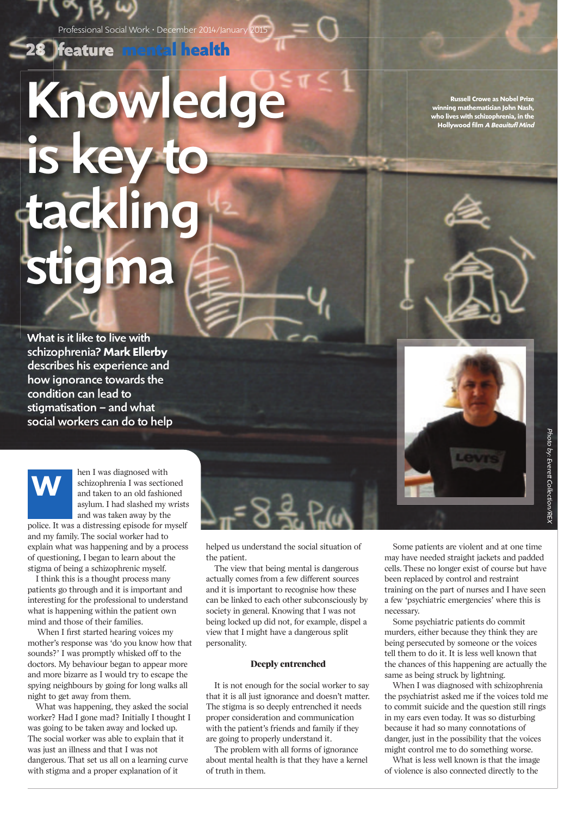Professional Social Work • December 2014/January 2015

**mental health**

# Knowledge is key t tacklin stigma

What is it like to live with schizophrenia? **Mark Ellerby** describes his experience and how ignorance towards the condition can lead to stigmatisation – and what social workers can do to help



hen I was diagnosed with schizophrenia I was sectioned and taken to an old fashioned asylum. I had slashed my wrists and was taken away by the

police. It was a distressing episode for myself and my family. The social worker had to explain what was happening and by a process of questioning, I began to learn about the stigma of being a schizophrenic myself.

I think this is a thought process many patients go through and it is important and interesting for the professional to understand what is happening within the patient own mind and those of their families.

When I first started hearing voices my mother's response was 'do you know how that sounds?' I was promptly whisked off to the doctors. My behaviour began to appear more and more bizarre as I would try to escape the spying neighbours by going for long walks all night to get away from them.

What was happening, they asked the social worker? Had I gone mad? Initially I thought I was going to be taken away and locked up. The social worker was able to explain that it was just an illness and that I was not dangerous. That set us all on a learning curve with stigma and a proper explanation of it

helped us understand the social situation of the patient.

The view that being mental is dangerous actually comes from a few different sources and it is important to recognise how these can be linked to each other subconsciously by society in general. Knowing that I was not being locked up did not, for example, dispel a view that I might have a dangerous split personality.

#### **Deeply entrenched**

It is not enough for the social worker to say that it is all just ignorance and doesn't matter. The stigma is so deeply entrenched it needs proper consideration and communication with the patient's friends and family if they are going to properly understand it.

The problem with all forms of ignorance about mental health is that they have a kernel of truth in them.

**Russell Crowe as Nobel Prize winning mathematician John Nash, who lives with schizophrenia, in the Hollywood film** *A Beauitufl Mind* 

Some patients are violent and at one time may have needed straight jackets and padded cells. These no longer exist of course but have been replaced by control and restraint training on the part of nurses and I have seen a few 'psychiatric emergencies' where this is necessary.

Some psychiatric patients do commit murders, either because they think they are being persecuted by someone or the voices tell them to do it. It is less well known that the chances of this happening are actually the same as being struck by lightning.

When I was diagnosed with schizophrenia the psychiatrist asked me if the voices told me to commit suicide and the question still rings in my ears even today. It was so disturbing because it had so many connotations of danger, just in the possibility that the voices might control me to do something worse.

What is less well known is that the image of violence is also connected directly to the